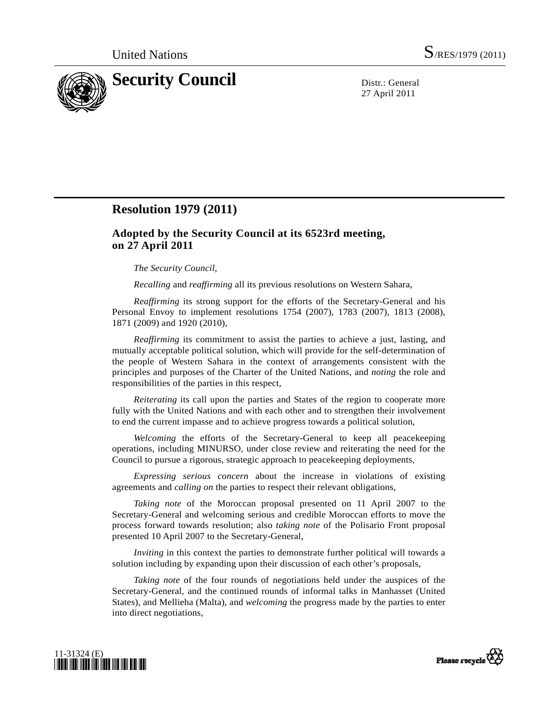

27 April 2011

## **Resolution 1979 (2011)**

## **Adopted by the Security Council at its 6523rd meeting, on 27 April 2011**

## *The Security Council*,

*Recalling* and *reaffirming* all its previous resolutions on Western Sahara,

*Reaffirming* its strong support for the efforts of the Secretary-General and his Personal Envoy to implement resolutions 1754 (2007), 1783 (2007), 1813 (2008), 1871 (2009) and 1920 (2010),

*Reaffirming* its commitment to assist the parties to achieve a just, lasting, and mutually acceptable political solution, which will provide for the self-determination of the people of Western Sahara in the context of arrangements consistent with the principles and purposes of the Charter of the United Nations, and *noting* the role and responsibilities of the parties in this respect,

*Reiterating* its call upon the parties and States of the region to cooperate more fully with the United Nations and with each other and to strengthen their involvement to end the current impasse and to achieve progress towards a political solution,

*Welcoming* the efforts of the Secretary-General to keep all peacekeeping operations, including MINURSO, under close review and reiterating the need for the Council to pursue a rigorous, strategic approach to peacekeeping deployments,

*Expressing serious concern* about the increase in violations of existing agreements and *calling on* the parties to respect their relevant obligations,

*Taking note* of the Moroccan proposal presented on 11 April 2007 to the Secretary-General and welcoming serious and credible Moroccan efforts to move the process forward towards resolution; also *taking note* of the Polisario Front proposal presented 10 April 2007 to the Secretary-General,

*Inviting* in this context the parties to demonstrate further political will towards a solution including by expanding upon their discussion of each other's proposals,

*Taking note* of the four rounds of negotiations held under the auspices of the Secretary-General, and the continued rounds of informal talks in Manhasset (United States), and Mellieha (Malta), and *welcoming* the progress made by the parties to enter into direct negotiations,



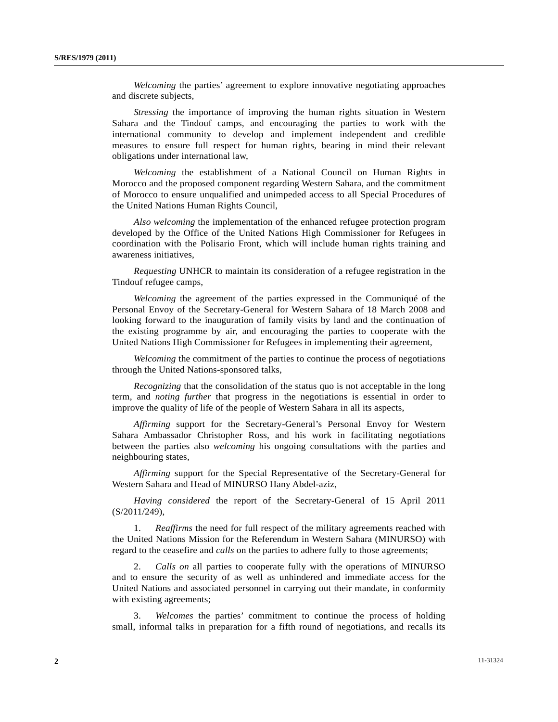*Welcoming* the parties' agreement to explore innovative negotiating approaches and discrete subjects,

*Stressing* the importance of improving the human rights situation in Western Sahara and the Tindouf camps, and encouraging the parties to work with the international community to develop and implement independent and credible measures to ensure full respect for human rights, bearing in mind their relevant obligations under international law,

*Welcoming* the establishment of a National Council on Human Rights in Morocco and the proposed component regarding Western Sahara, and the commitment of Morocco to ensure unqualified and unimpeded access to all Special Procedures of the United Nations Human Rights Council,

*Also welcoming* the implementation of the enhanced refugee protection program developed by the Office of the United Nations High Commissioner for Refugees in coordination with the Polisario Front, which will include human rights training and awareness initiatives,

*Requesting* UNHCR to maintain its consideration of a refugee registration in the Tindouf refugee camps,

*Welcoming* the agreement of the parties expressed in the Communiqué of the Personal Envoy of the Secretary-General for Western Sahara of 18 March 2008 and looking forward to the inauguration of family visits by land and the continuation of the existing programme by air, and encouraging the parties to cooperate with the United Nations High Commissioner for Refugees in implementing their agreement,

*Welcoming* the commitment of the parties to continue the process of negotiations through the United Nations-sponsored talks,

*Recognizing* that the consolidation of the status quo is not acceptable in the long term, and *noting further* that progress in the negotiations is essential in order to improve the quality of life of the people of Western Sahara in all its aspects,

*Affirming* support for the Secretary-General's Personal Envoy for Western Sahara Ambassador Christopher Ross, and his work in facilitating negotiations between the parties also *welcoming* his ongoing consultations with the parties and neighbouring states,

*Affirming* support for the Special Representative of the Secretary-General for Western Sahara and Head of MINURSO Hany Abdel-aziz,

*Having considered* the report of the Secretary-General of 15 April 2011 (S/2011/249),

 1. *Reaffirms* the need for full respect of the military agreements reached with the United Nations Mission for the Referendum in Western Sahara (MINURSO) with regard to the ceasefire and *calls* on the parties to adhere fully to those agreements;

 2. *Calls on* all parties to cooperate fully with the operations of MINURSO and to ensure the security of as well as unhindered and immediate access for the United Nations and associated personnel in carrying out their mandate, in conformity with existing agreements;

 3. *Welcomes* the parties' commitment to continue the process of holding small, informal talks in preparation for a fifth round of negotiations, and recalls its